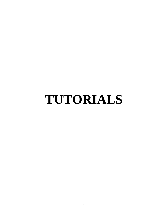# **TUTORIALS**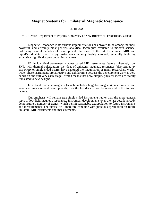## **Magnet Systems for Unilateral Magnetic Resonance**

#### *B. Balcom*

MRI Centre, Department of Physics, University of New Brunswick, Fredericton, Canada

Magnetic Resonance in its various implementations has proven to be among the most powerful, and certainly most general, analytical techniques available to modern science. Following several decades of development, the state of the art for clinical MRI and liquid/solid state spectroscopy instruments is very highly evolved, generally featuring expensive high field superconducting magnets.

While low field permanent magnet based MR instruments feature inherently low SNR, with thermal polarization, the ideas of unilateral magnetic resonance (also termed ex situ NMR or single sided NMR) have captured the imagination of many researchers worldwide. These instruments are attractive and exhilarating because the development work is very hands-on and still very early stage - which means that new, simple, physical ideas are readily translated to new designs.

Low field portable magnets (which includes luggable magnets), instruments, and associated measurement developments, over the last decade, will be reviewed in this tutorial lecture.

Our emphasis will remain true single-sided instruments rather than the more general topic of low field magnetic resonance. Instrument developments over the last decade already demonstrate a number of trends, which permit reasonable extrapolation to future instruments and measurements. The tutorial will therefore conclude with judicious speculation on future unilateral MR instruments and measurements.